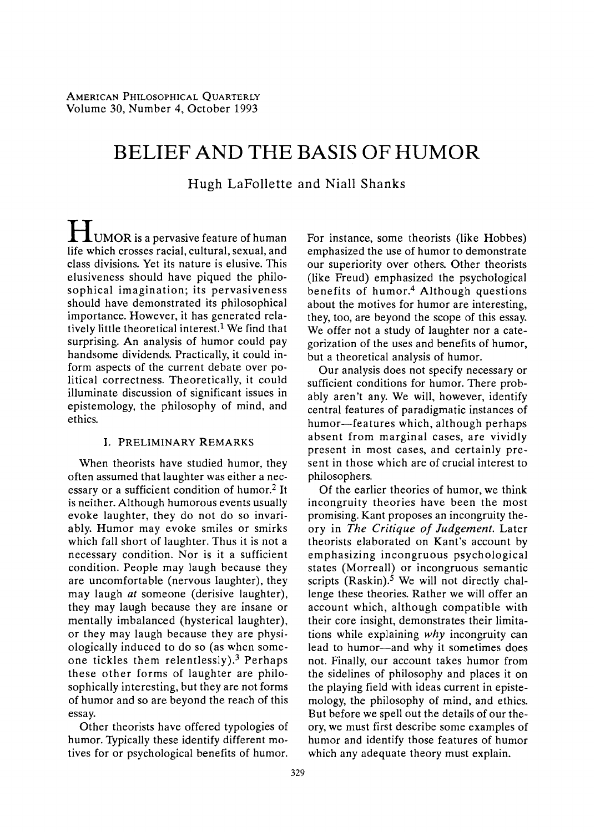# **BELIEF AND THE BASIS OF HUMOR**

**Hugh LaFollette and Niall Shanks** 

**LUMOR** is a pervasive feature of human **life which crosses racial, cultural, sexual, and class divisions. Yet its nature is elusive. This elusiveness should have piqued the philo? sophical imagination; its pervasiveness should have demonstrated its philosophical importance. However, it has generated rela? tively little theoretical interest.1 We find that surprising. An analysis of humor could pay handsome dividends. Practically, it could in?**  form aspects of the current debate over po**litical correctness. Theoretically, it could illuminate discussion of significant issues in epistemology, the philosophy of mind, and ethics.** 

#### **I. PRELIMINARY REMARKS**

**When theorists have studied humor, they often assumed that laughter was either a nec? essary or a sufficient condition of humor.2 It is neither. Although humorous events usually evoke laughter, they do not do so invari? ably. Humor may evoke smiles or smirks which fall short of laughter. Thus it is not a necessary condition. Nor is it a sufficient condition. People may laugh because they are uncomfortable (nervous laughter), they may laugh at someone (derisive laughter), they may laugh because they are insane or mentally imbalanced (hysterical laughter), or they may laugh because they are physi? ologically induced to do so (as when some? one tickles them relentlessly).3 Perhaps these other forms of laughter are philo? sophically interesting, but they are not forms of humor and so are beyond the reach of this essay.** 

**Other theorists have offered typologies of humor. Typically these identify different mo? tives for or psychological benefits of humor.**  **For instance, some theorists (like Hobbes) emphasized the use of humor to demonstrate our superiority over others. Other theorists (like Freud) emphasized the psychological benefits of humor.4 Although questions about the motives for humor are interesting, they, too, are beyond the scope of this essay.**  We offer not a study of laughter nor a cate**gorization of the uses and benefits of humor, but a theoretical analysis of humor.** 

**Our analysis does not specify necessary or**  sufficient conditions for humor. There prob**ably aren't any. We will, however, identify central features of paradigmatic instances of**  humor-features which, although perhaps **absent from marginal cases, are vividly present in most cases, and certainly pre? sent in those which are of crucial interest to philosophers.** 

**Of the earlier theories of humor, we think incongruity theories have been the most promising. Kant proposes an incongruity the? ory in The Critique of Judgement. Later theorists elaborated on Kant's account by emphasizing incongruous psychological**  states (Morreall) or incongruous seman **scripts (Raskin).5 We will not directly chal? lenge these theories. Rather we will offer an account which, although compatible with their core insight, demonstrates their limita? tions while explaining why incongruity can**  lead to humor-and why it sometimes does **not. Finally, our account takes humor from the sidelines of philosophy and places it on the playing field with ideas current in episte mology, the philosophy of mind, and ethics. But before we spell out the details of our the? ory, we must first describe some examples of humor and identify those features of humor which any adequate theory must explain.**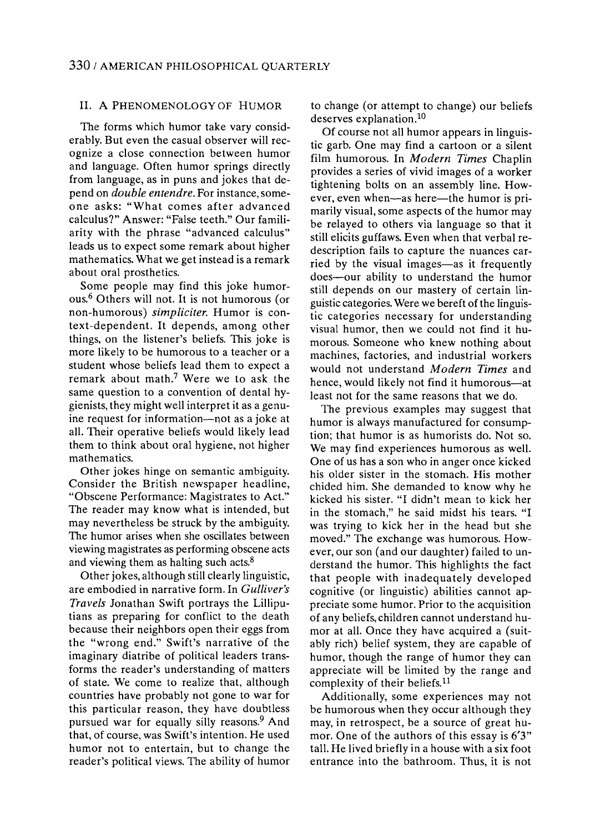#### **II. A PHENOMENOLOGY OF HUMOR**

**The forms which humor take vary consid?**  erably. But even the casual observer will rec**ognize a close connection between humor and language. Often humor springs directly from language, as in puns and jokes that de? pend on double entendre. For instance, some? one asks: "What comes after advanced calculus?" Answer: "False teeth." Our famili? arity with the phrase "advanced calculus" leads us to expect some remark about higher mathematics. What we get instead is a remark about oral prosthetics.** 

**Some people may find this joke humor? ous.6 Others will not. It is not humorous (or**  non-humorous) simpliciter. Humor is con**text-dependent. It depends, among other things, on the listener's beliefs. This joke is more likely to be humorous to a teacher or a student whose beliefs lead them to expect a remark about math.7 Were we to ask the**  same question to a convention of dental hy**gienists, they might well interpret it as a genu?**  ine request for information—not as a joke at **all. Their operative beliefs would likely lead them to think about oral hygiene, not higher mathematics.** 

**Other jokes hinge on semantic ambiguity. Consider the British newspaper headline, "Obscene Performance: Magistrates to Act." The reader may know what is intended, but may nevertheless be struck by the ambiguity. The humor arises when she oscillates between viewing magistrates as performing obscene acts and viewing them as halting such acts.8** 

**Other jokes, although still clearly linguistic, are embodied in narrative form. In Gulliver's Travels Jonathan Swift portrays the Lillipu? tians as preparing for conflict to the death because their neighbors open their eggs from the "wrong end." Swift's narrative of the imaginary diatribe of political leaders trans? forms the reader's understanding of matters of state. We come to realize that, although countries have probably not gone to war for this particular reason, they have doubtless pursued war for equally silly reasons.9 And that, of course, was Swift's intention. He used humor not to entertain, but to change the reader's political views. The ability of humor** 

**to change (or attempt to change) our beliefs deserves explanation.10** 

**Of course not all humor appears in linguis? tic garb. One may find a cartoon or a silent film humorous. In Modern Times Chaplin provides a series of vivid images of a worker tightening bolts on an assembly line. How?**  ever, even when—as here—the humor is pri**marily visual, some aspects of the humor may be relayed to others via language so that it still elicits guffaws. Even when that verbal re description fails to capture the nuances car?**  ried by the visual images—as it frequently does—our ability to understand the humor **still depends on our mastery of certain lin? guistic categories. Were we bereft of the linguis? tic categories necessary for understanding**  visual humor, then we could not find it hu**morous. Someone who knew nothing about machines, factories, and industrial workers would not understand Modern Times and**  hence, would likely not find it humorous—at **least not for the same reasons that we do.** 

**The previous examples may suggest that humor is always manufactured for consump? tion; that humor is as humorists do. Not so. We may find experiences humorous as well. One of us has a son who in anger once kicked his older sister in the stomach. His mother chided him. She demanded to know why he kicked his sister. "I didn't mean to kick her in the stomach," he said midst his tears. "I was trying to kick her in the head but she**  moved." The exchange was humorous. How**ever, our son (and our daughter) failed to un? derstand the humor. This highlights the fact that people with inadequately developed cognitive (or linguistic) abilities cannot ap? preciate some humor. Prior to the acquisition**  of any beliefs, children cannot understand humor at all. Once they have acquired a (suit**ably rich) belief system, they are capable of humor, though the range of humor they can appreciate will be limited by the range and complexity of their beliefs.11** 

**Additionally, some experiences may not be humorous when they occur although they**  may, in retrospect, be a source of great hu**mor. One of the authors of this essay is 6'3" tall. He lived briefly in a house with a six foot entrance into the bathroom. Thus, it is not**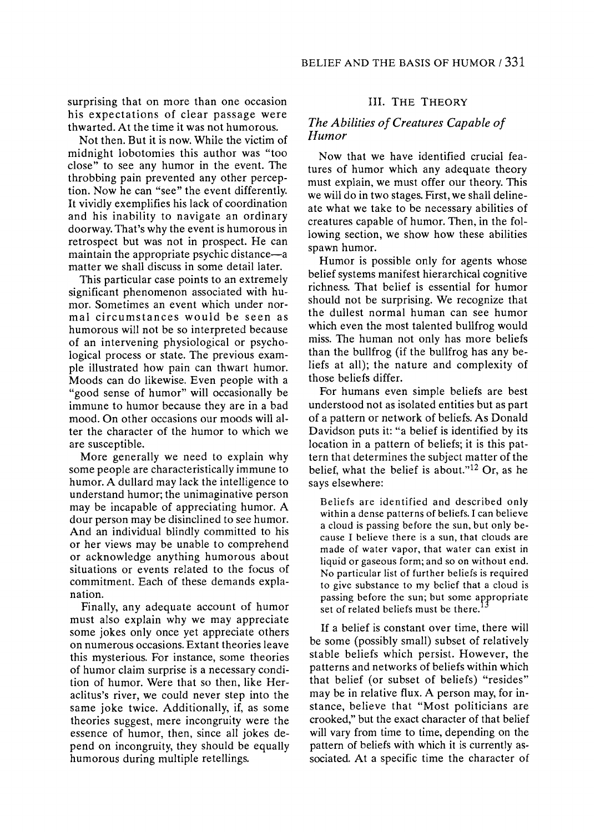**surprising that on more than one occasion his expectations of clear passage were thwarted. At the time it was not humorous.** 

**Not then. But it is now. While the victim of midnight lobotomies this author was "too close" to see any humor in the event. The throbbing pain prevented any other percep? tion. Now he can "see" the event differently. It vividly exemplifies his lack of coordination and his inability to navigate an ordinary doorway. That's why the event is humorous in retrospect but was not in prospect. He can**  maintain the appropriate psychic distance—a **matter we shall discuss in some detail later.** 

**This particular case points to an extremely significant phenomenon associated with hu? mor. Sometimes an event which under nor? mal circumstances would be seen as humorous will not be so interpreted because of an intervening physiological or psycho? logical process or state. The previous exam? ple illustrated how pain can thwart humor. Moods can do likewise. Even people with a "good sense of humor" will occasionally be immune to humor because they are in a bad mood. On other occasions our moods will al? ter the character of the humor to which we are susceptible.** 

**More generally we need to explain why some people are characteristically immune to humor. A dullard may lack the intelligence to understand humor; the unimaginative person may be incapable of appreciating humor. A dour person may be disinclined to see humor. And an individual blindly committed to his or her views may be unable to comprehend or acknowledge anything humorous about situations or events related to the focus of commitment. Each of these demands expla? nation.** 

**Finally, any adequate account of humor must also explain why we may appreciate some jokes only once yet appreciate others on numerous occasions. Extant theories leave this mysterious. For instance, some theories of humor claim surprise is a necessary condi? tion of humor. Were that so then, like Her aclitus's river, we could never step into the same joke twice. Additionally, if, as some theories suggest, mere incongruity were the essence of humor, then, since all jokes de? pend on incongruity, they should be equally humorous during multiple retellings.** 

## **III. THE THEORY**

## **The Abilities of Creatures Capable of Humor**

**Now that we have identified crucial fea? tures of humor which any adequate theory must explain, we must offer our theory. This we will do in two stages. First, we shall deline? ate what we take to be necessary abilities of creatures capable of humor. Then, in the fol? lowing section, we show how these abilities spawn humor.** 

**Humor is possible only for agents whose belief systems manifest hierarchical cognitive richness. That belief is essential for humor should not be surprising. We recognize that the dullest normal human can see humor which even the most talented bullfrog would miss. The human not only has more beliefs than the bullfrog (if the bullfrog has any be? liefs at all); the nature and complexity of those beliefs differ.** 

**For humans even simple beliefs are best understood not as isolated entities but as part of a pattern or network of beliefs. As Donald Davidson puts it: "a belief is identified by its**  location in a pattern of beliefs; it is this pat**tern that determines the subject matter of the belief, what the belief is about."12 Or, as he says elsewhere:** 

**Beliefs are identified and described only within a dense patterns of beliefs. I can believe a cloud is passing before the sun, but only be? cause I believe there is a sun, that clouds are made of water vapor, that water can exist in liquid or gaseous form; and so on without end. No particular list of further beliefs is required to give substance to my belief that a cloud is passing before the sun; but some**  set of related beliefs must be there.<sup> $13$ </sup>

**If a belief is constant over time, there will be some (possibly small) subset of relatively stable beliefs which persist. However, the patterns and networks of beliefs within which that belief (or subset of beliefs) "resides" may be in relative flux. A person may, for in? stance, believe that "Most politicians are crooked," but the exact character of that belief will vary from time to time, depending on the pattern of beliefs with which it is currently as? sociated. At a specific time the character of**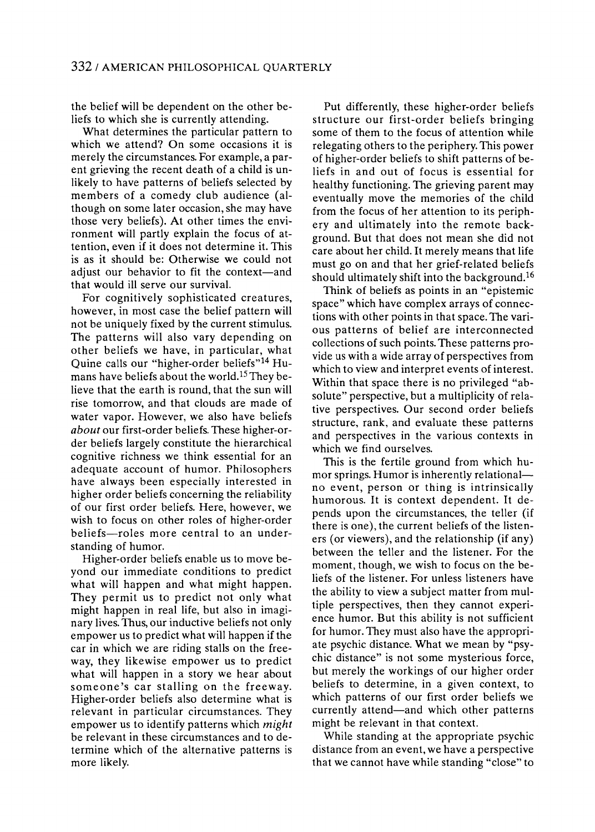**the belief will be dependent on the other be? liefs to which she is currently attending.** 

**What determines the particular pattern to which we attend? On some occasions it is merely the circumstances. For example, a par? ent grieving the recent death of a child is un? likely to have patterns of beliefs selected by**  members of a comedy club audience (al**though on some later occasion, she may have those very beliefs). At other times the envi? ronment will partly explain the focus of attention, even if it does not determine it. This is as it should be: Otherwise we could not**  adjust our behavior to fit the context—and **that would ill serve our survival.** 

**For cognitively sophisticated creatures, however, in most case the belief pattern will not be uniquely fixed by the current stimulus. The patterns will also vary depending on other beliefs we have, in particular, what**  Quine calls our "higher-order beliefs"<sup>14</sup> Hu**mans have beliefs about the world.15 They be? lieve that the earth is round, that the sun will rise tomorrow, and that clouds are made of water vapor. However, we also have beliefs about our first-order beliefs. These higher-or? der beliefs largely constitute the hierarchical cognitive richness we think essential for an adequate account of humor. Philosophers have always been especially interested in higher order beliefs concerning the reliability of our first order beliefs. Here, however, we wish to focus on other roles of higher-order**  beliefs—roles more central to an under**standing of humor.** 

**Higher-order beliefs enable us to move be? yond our immediate conditions to predict what will happen and what might happen. They permit us to predict not only what**  might happen in real life, but also in imagi**nary lives. Thus, our inductive beliefs not only empower us to predict what will happen if the car in which we are riding stalls on the free? way, they likewise empower us to predict what will happen in a story we hear about someone's car stalling on the freeway. Higher-order beliefs also determine what is relevant in particular circumstances. They empower us to identify patterns which might be relevant in these circumstances and to de? termine which of the alternative patterns is more likely.** 

**Put differently, these higher-order beliefs structure our first-order beliefs bringing some of them to the focus of attention while relegating others to the periphery. This power of higher-order beliefs to shift patterns of be? liefs in and out of focus is essential for healthy functioning. The grieving parent may eventually move the memories of the child from the focus of her attention to its periph? ery and ultimately into the remote back? ground. But that does not mean she did not care about her child. It merely means that life must go on and that her grief-related beliefs should ultimately shift into the background.16** 

**Think of beliefs as points in an "epistemic space" which have complex arrays of connec? tions with other points in that space. The vari? ous patterns of belief are interconnected collections of such points. These patterns pro? vide us with a wide array of perspectives from which to view and interpret events of interest.**  Within that space there is no privileged "ab**solute" perspective, but a multiplicity of rela? tive perspectives. Our second order beliefs structure, rank, and evaluate these patterns and perspectives in the various contexts in which we find ourselves.** 

This is the fertile ground from which hu**mor springs. Humor is inherently relational? no event, person or thing is intrinsically humorous. It is context dependent. It de? pends upon the circumstances, the teller (if there is one), the current beliefs of the listen? ers (or viewers), and the relationship (if any) between the teller and the listener. For the**  moment, though, we wish to focus on the be**liefs of the listener. For unless listeners have the ability to view a subject matter from mul? tiple perspectives, then they cannot experi? ence humor. But this ability is not sufficient for humor. They must also have the appropri? ate psychic distance. What we mean by "psy? chic distance" is not some mysterious force, but merely the workings of our higher order beliefs to determine, in a given context, to which patterns of our first order beliefs we currently attend?and which other patterns might be relevant in that context.** 

**While standing at the appropriate psychic distance from an event, we have a perspective that we cannot have while standing "close" to**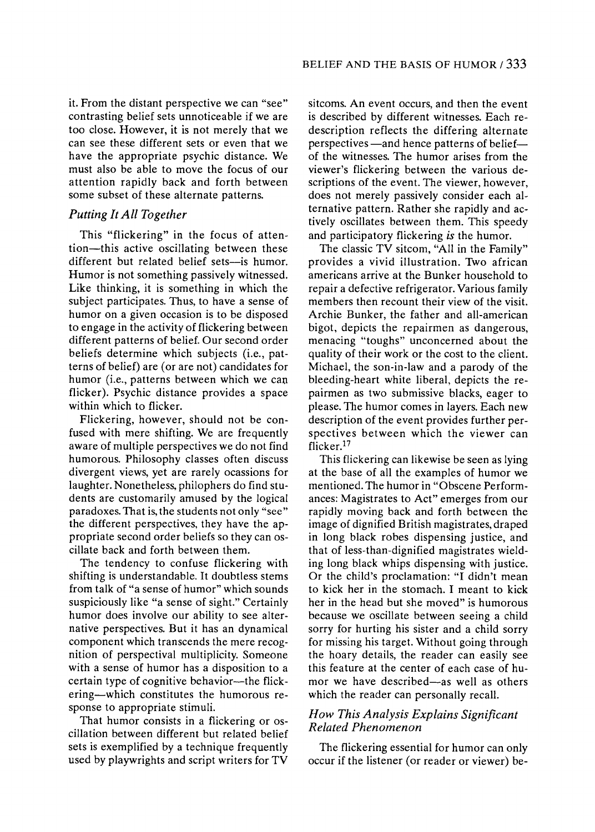**it. From the distant perspective we can "see" contrasting belief sets unnoticeable if we are too close. However, it is not merely that we can see these different sets or even that we have the appropriate psychic distance. We must also be able to move the focus of our attention rapidly back and forth between some subset of these alternate patterns.** 

# **Putting It All Together**

This "flickering" in the focus of attention—this active oscillating between these different but related belief sets-is humor. **Humor is not something passively witnessed. Like thinking, it is something in which the subject participates. Thus, to have a sense of humor on a given occasion is to be disposed to engage in the activity of flickering between different patterns of belief. Our second order**  beliefs determine which subjects (i.e., pat**terns of belief) are (or are not) candidates for humor (i.e., patterns between which we can flicker). Psychic distance provides a space within which to flicker.** 

Flickering, however, should not be con**fused with mere shifting. We are frequently aware of multiple perspectives we do not find humorous. Philosophy classes often discuss divergent views, yet are rarely ocassions for**  laughter. Nonetheless, philophers do find stu**dents are customarily amused by the logical paradoxes. That is, the students not only "see" the different perspectives, they have the ap? propriate second order beliefs so they can os? cillate back and forth between them.** 

**The tendency to confuse flickering with shifting is understandable. It doubtless stems from talk of "a sense of humor" which sounds suspiciously like "a sense of sight." Certainly humor does involve our ability to see alter? native perspectives. But it has an dynamical component which transcends the mere recog? nition of perspectival multiplicity. Someone with a sense of humor has a disposition to a**  certain type of cognitive behavior—the flick**ering?which constitutes the humorous re? sponse to appropriate stimuli.** 

That humor consists in a flickering or os**cillation between different but related belief sets is exemplified by a technique frequently used by playwrights and script writers for TV** 

**sitcoms. An event occurs, and then the event is described by different witnesses. Each re description reflects the differing alternate perspectives** — and hence patterns of belief **of the witnesses. The humor arises from the viewer's flickering between the various de? scriptions of the event. The viewer, however, does not merely passively consider each al? ternative pattern. Rather she rapidly and ac? tively oscillates between them. This speedy and participatory flickering is the humor.** 

**The classic TV sitcom, "All in the Family" provides a vivid illustration. Two african americans arrive at the Bunker household to repair a defective refrigerator. Various family members then recount their view of the visit. Archie Bunker, the father and all-american bigot, depicts the repairmen as dangerous, menacing "toughs" unconcerned about the quality of their work or the cost to the client. Michael, the son-in-law and a parody of the bleeding-heart white liberal, depicts the re? pairmen as two submissive blacks, eager to please. The humor comes in layers. Each new description of the event provides further per? spectives between which the viewer can flicker.17** 

**This flickering can likewise be seen as lying at the base of all the examples of humor we mentioned. The humor in "Obscene Perform? ances: Magistrates to Act" emerges from our rapidly moving back and forth between the image of dignified British magistrates, draped in long black robes dispensing justice, and that of less-than-dignified magistrates wield? ing long black whips dispensing with justice. Or the child's proclamation: "I didn't mean to kick her in the stomach. I meant to kick her in the head but she moved" is humorous because we oscillate between seeing a child sorry for hurting his sister and a child sorry for missing his target. Without going through the hoary details, the reader can easily see this feature at the center of each case of hu?**  mor we have described—as well as others **which the reader can personally recall.** 

# **How This Analysis Explains Significant Related Phenomenon**

**The flickering essential for humor can only occur if the listener (or reader or viewer) be**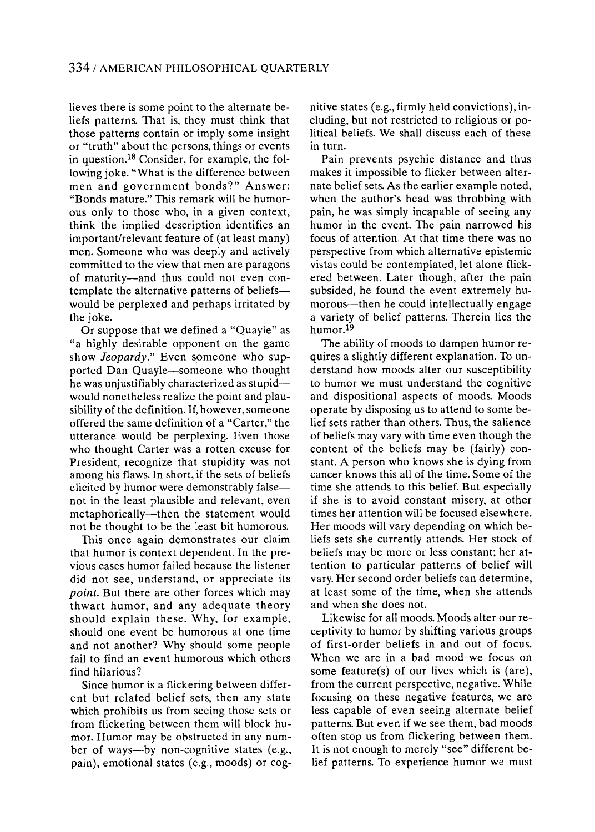**Heves there is some point to the alternate be? liefs patterns. That is, they must think that those patterns contain or imply some insight or "truth" about the persons, things or events**  in question.<sup>18</sup> Consider, for example, the fol**lowing joke. "What is the difference between men and government bonds?" Answer: "Bonds mature." This remark will be humor? ous only to those who, in a given context, think the implied description identifies an important/relevant feature of (at least many) men. Someone who was deeply and actively committed to the view that men are paragons**  of maturity-and thus could not even con**template the alternative patterns of beliefs would be perplexed and perhaps irritated by the joke.** 

**Or suppose that we defined a "Quayle" as "a highly desirable opponent on the game**  show *Jeopardy*." Even someone who supported Dan Quayle-someone who thought **he was unjustifiably characterized as stupid? would nonetheless realize the point and plau? sibility of the definition. If, however, someone offered the same definition of a "Carter," the utterance would be perplexing. Even those who thought Carter was a rotten excuse for President, recognize that stupidity was not among his flaws. In short, if the sets of beliefs elicited by humor were demonstrably false? not in the least plausible and relevant, even**  metaphorically—then the statement would **not be thought to be the least bit humorous.** 

**This once again demonstrates our claim that humor is context dependent. In the pre? vious cases humor failed because the listener did not see, understand, or appreciate its point. But there are other forces which may thwart humor, and any adequate theory should explain these. Why, for example, should one event be humorous at one time and not another? Why should some people fail to find an event humorous which others find hilarious?** 

**Since humor is a flickering between differ? ent but related belief sets, then any state which prohibits us from seeing those sets or from flickering between them will block hu? mor. Humor may be obstructed in any num?**  ber of ways-by non-cognitive states (e.g., pain), emotional states (e.g., moods) or cog**nitive states (e.g., firmly held convictions), in? cluding, but not restricted to religious or po? litical beliefs. We shall discuss each of these in turn.** 

**Pain prevents psychic distance and thus makes it impossible to flicker between alter? nate belief sets. As the earlier example noted, when the author's head was throbbing with pain, he was simply incapable of seeing any humor in the event. The pain narrowed his focus of attention. At that time there was no perspective from which alternative epistemic vistas could be contemplated, let alone flick? ered between. Later though, after the pain**  subsided, he found the event extremely humorous—then he could intellectually engage **a variety of belief patterns. Therein lies the humor.19** 

**The ability of moods to dampen humor re? quires a slightly different explanation. To un? derstand how moods alter our susceptibility to humor we must understand the cognitive and dispositional aspects of moods. Moods operate by disposing us to attend to some be? lief sets rather than others. Thus, the salience of beliefs may vary with time even though the content of the beliefs may be (fairly) con? stant. A person who knows she is dying from cancer knows this all of the time. Some of the time she attends to this belief. But especially if she is to avoid constant misery, at other times her attention will be focused elsewhere. Her moods will vary depending on which be? liefs sets she currently attends. Her stock of**  beliefs may be more or less constant; her at**tention to particular patterns of belief will vary. Her second order beliefs can determine, at least some of the time, when she attends and when she does not.** 

**Likewise for all moods. Moods alter our re? ceptivity to humor by shifting various groups of first-order beliefs in and out of focus. When we are in a bad mood we focus on some feature(s) of our lives which is (are), from the current perspective, negative. While focusing on these negative features, we are less capable of even seeing alternate belief patterns. But even if we see them, bad moods often stop us from flickering between them.**  It is not enough to merely "see" different be**lief patterns. To experience humor we must**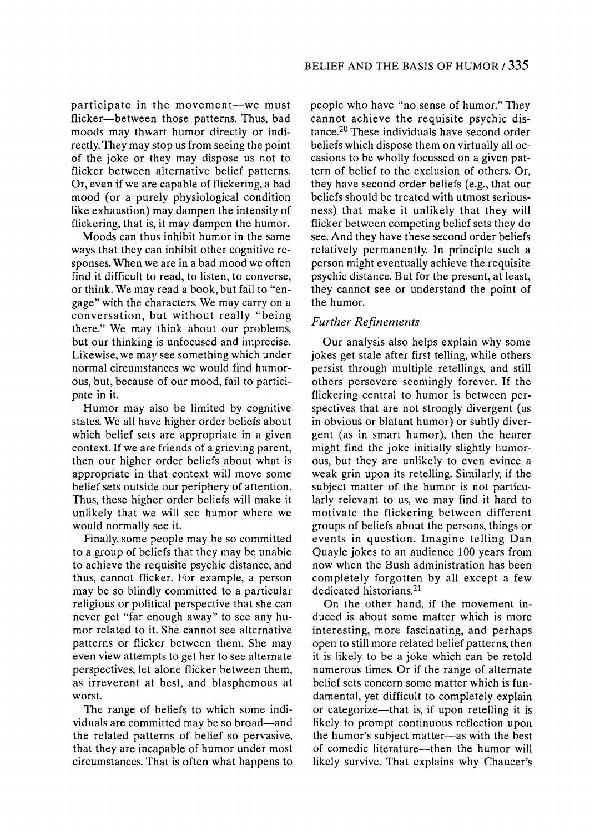**participate in the movement—we must** flicker—between those patterns. Thus, bad **moods may thwart humor directly or indi? rectly. They may stop us from seeing the point of the joke or they may dispose us not to flicker between alternative belief patterns. Or, even if we are capable of flickering, a bad mood (or a purely physiological condition like exhaustion) may dampen the intensity of flickering, that is, it may dampen the humor.** 

**Moods can thus inhibit humor in the same ways that they can inhibit other cognitive re? sponses. When we are in a bad mood we often find it difficult to read, to listen, to converse, or think. We may read a book, but fail to "en? gage" with the characters. We may carry on a conversation, but without really "being there." We may think about our problems, but our thinking is unfocused and imprecise. Likewise, we may see something which under normal circumstances we would find humor? ous, but, because of our mood, fail to partici? pate in it.** 

**Humor may also be limited by cognitive states. We all have higher order beliefs about which belief sets are appropriate in a given context. If we are friends of a grieving parent, then our higher order beliefs about what is appropriate in that context will move some belief sets outside our periphery of attention. Thus, these higher order beliefs will make it unlikely that we will see humor where we would normally see it.** 

**Finally, some people may be so committed to a group of beliefs that they may be unable to achieve the requisite psychic distance, and thus, cannot flicker. For example, a person may be so blindly committed to a particular religious or political perspective that she can**  never get "far enough away" to see any hu**mor related to it. She cannot see alternative patterns or flicker between them. She may even view attempts to get her to see alternate perspectives, let alone flicker between them, as irreverent at best, and blasphemous at worst.** 

**The range of beliefs to which some indi?**  viduals are committed may be so broad—and **the related patterns of belief so pervasive, that they are incapable of humor under most circumstances. That is often what happens to**  **people who have "no sense of humor." They cannot achieve the requisite psychic dis? tance.20 These individuals have second order beliefs which dispose them on virtually all oc? casions to be wholly focussed on a given pat? tern of belief to the exclusion of others. Or, they have second order beliefs (e.g., that our beliefs should be treated with utmost serious? ness) that make it unlikely that they will flicker between competing belief sets they do see. And they have these second order beliefs relatively permanently. In principle such a person might eventually achieve the requisite psychic distance. But for the present, at least, they cannot see or understand the point of the humor.** 

# **Further Refinements**

**Our analysis also helps explain why some jokes get stale after first telling, while others persist through multiple retellings, and still others persevere seemingly forever. If the flickering central to humor is between per? spectives that are not strongly divergent (as in obvious or blatant humor) or subtly diver? gent (as in smart humor), then the hearer might find the joke initially slightly humor? ous, but they are unlikely to even evince a weak grin upon its retelling. Similarly, if the**  subject matter of the humor is not particu**larly relevant to us, we may find it hard to motivate the flickering between different groups of beliefs about the persons, things or events in question. Imagine telling Dan Quayle jokes to an audience 100 years from now when the Bush administration has been completely forgotten by all except a few dedicated historians.21** 

On the other hand, if the movement in**duced is about some matter which is more interesting, more fascinating, and perhaps open to still more related belief patterns, then it is likely to be a joke which can be retold numerous times. Or if the range of alternate**  belief sets concern some matter which is fun**damental, yet difficult to completely explain**  or categorize—that is, if upon retelling it is **likely to prompt continuous reflection upon the humor's subject matter?as with the best**  of comedic literature—then the humor will **likely survive. That explains why Chaucer's**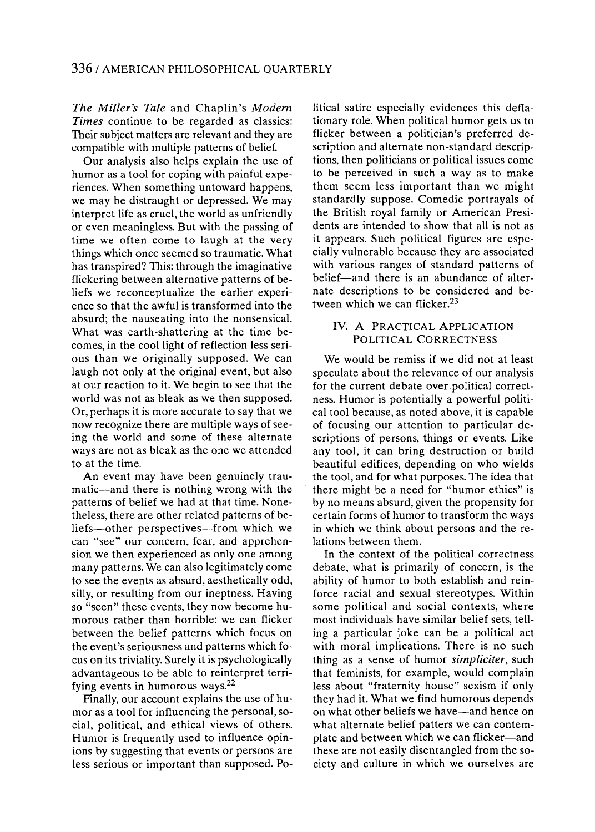**The Miller's Tale and Chaplin's Modern Times continue to be regarded as classics: Their subject matters are relevant and they are compatible with multiple patterns of belief.** 

**Our analysis also helps explain the use of humor as a tool for coping with painful expe? riences. When something untoward happens, we may be distraught or depressed. We may interpret life as cruel, the world as unfriendly or even meaningless. But with the passing of time we often come to laugh at the very things which once seemed so traumatic. What has transpired? This: through the imaginative flickering between alternative patterns of be? liefs we reconceptualize the earlier experi? ence so that the awful is transformed into the absurd; the nauseating into the nonsensical. What was earth-shattering at the time be? comes, in the cool light of reflection less seri? ous than we originally supposed. We can laugh not only at the original event, but also at our reaction to it. We begin to see that the world was not as bleak as we then supposed. Or, perhaps it is more accurate to say that we now recognize there are multiple ways of see? ing the world and some of these alternate ways are not as bleak as the one we attended to at the time.** 

**An event may have been genuinely trau?**  matic—and there is nothing wrong with the **patterns of belief we had at that time. None? theless, there are other related patterns of be?**  liefs—other perspectives—from which we **can "see" our concern, fear, and apprehen? sion we then experienced as only one among many patterns. We can also legitimately come to see the events as absurd, aesthetically odd, silly, or resulting from our ineptness. Having**  so "seen" these events, they now become hu**morous rather than horrible: we can flicker between the belief patterns which focus on the event's seriousness and patterns which fo? cus on its triviality. Surely it is psychologically advantageous to be able to reinterpret terri? fying events in humorous ways.22** 

Finally, our account explains the use of humor as a tool for influencing the personal, so**cial, political, and ethical views of others. Humor is frequently used to influence opin? ions by suggesting that events or persons are**  less serious or important than supposed. Po**litical satire especially evidences this defla? tionary role. When political humor gets us to flicker between a politician's preferred de? scription and alternate non-standard descrip? tions, then politicians or political issues come to be perceived in such a way as to make them seem less important than we might standardly suppose. Comedie portrayals of the British royal family or American Presi? dents are intended to show that all is not as it appears. Such political figures are espe? cially vulnerable because they are associated with various ranges of standard patterns of**  belief—and there is an abundance of alter**nate descriptions to be considered and be? tween which we can flicker.23** 

## **IV. A PRACTICAL APPLICATION POLITICAL CORRECTNESS**

**We would be remiss if we did not at least speculate about the relevance of our analysis**  for the current debate over political correctness. Humor is potentially a powerful politi**cal tool because, as noted above, it is capable of focusing our attention to particular de? scriptions of persons, things or events. Like any tool, it can bring destruction or build beautiful edifices, depending on who wields the tool, and for what purposes. The idea that there might be a need for "humor ethics" is by no means absurd, given the propensity for certain forms of humor to transform the ways in which we think about persons and the re? lations between them.** 

**In the context of the political correctness debate, what is primarily of concern, is the ability of humor to both establish and rein? force racial and sexual stereotypes. Within some political and social contexts, where most individuals have similar belief sets, tell? ing a particular joke can be a political act with moral implications. There is no such thing as a sense of humor simpliciter, such that feminists, for example, would complain less about "fraternity house" sexism if only they had it. What we find humorous depends on what other beliefs we have—and hence on what alternate belief patters we can contem?**  plate and between which we can flicker—and **these are not easily disentangled from the so? ciety and culture in which we ourselves are**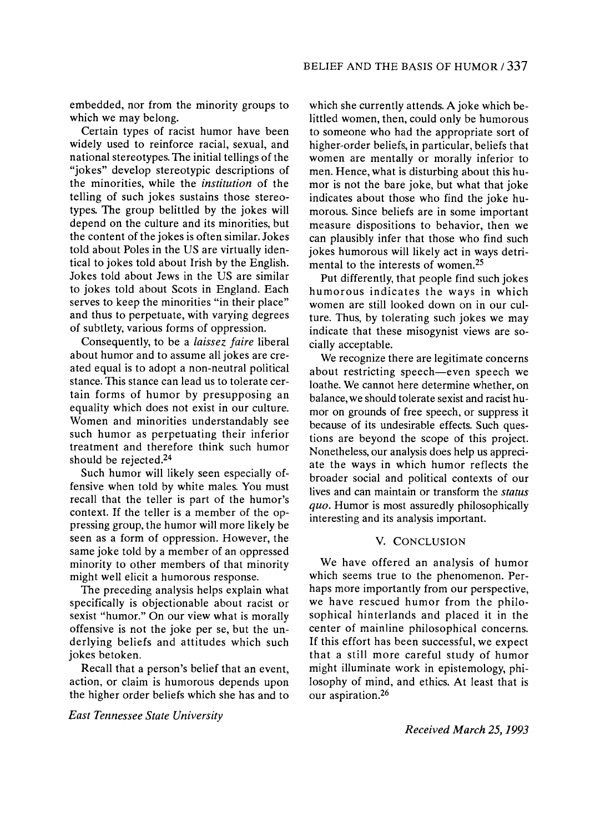**embedded, nor from the minority groups to which we may belong.** 

**Certain types of racist humor have been widely used to reinforce racial, sexual, and national stereotypes. The initial tellings of the**  "jokes" develop stereotypic descriptions of **the minorities, while the institution of the telling of such jokes sustains those stereo? types. The group belittled by the jokes will depend on the culture and its minorities, but the content of the jokes is often similar. Jokes told about Poles in the US are virtually iden? tical to jokes told about Irish by the English. Jokes told about Jews in the US are similar to jokes told about Scots in England. Each serves to keep the minorities "in their place" and thus to perpetuate, with varying degrees of subtlety, various forms of oppression.** 

**Consequently, to be a laissez faire liberal about humor and to assume all jokes are cre? ated equal is to adopt a non-neutral political stance. This stance can lead us to tolerate cer? tain forms of humor by presupposing an equality which does not exist in our culture. Women and minorities understandably see such humor as perpetuating their inferior treatment and therefore think such humor should be rejected.24** 

**Such humor will likely seen especially of? fensive when told by white males. You must recall that the teller is part of the humor's**  context. If the teller is a member of the op**pressing group, the humor will more likely be seen as a form of oppression. However, the same joke told by a member of an oppressed minority to other members of that minority might well elicit a humorous response.** 

**The preceding analysis helps explain what specifically is objectionable about racist or sexist "humor." On our view what is morally offensive is not the joke per se, but the un? derlying beliefs and attitudes which such jokes betoken.** 

**Recall that a person's belief that an event, action, or claim is humorous depends upon the higher order beliefs which she has and to** 

**East Tennessee State University** 

**which she currently attends. A joke which be? littled women, then, could only be humorous to someone who had the appropriate sort of higher-order beliefs, in particular, beliefs that women are mentally or morally inferior to**  men. Hence, what is disturbing about this hu**mor is not the bare joke, but what that joke**  indicates about those who find the joke hu**morous. Since beliefs are in some important measure dispositions to behavior, then we can plausibly infer that those who find such jokes humorous will likely act in ways detri? mental to the interests of women.25** 

**Put differently, that people find such jokes humorous indicates the ways in which women are still looked down on in our cul? ture. Thus, by tolerating such jokes we may**  indicate that these misogynist views are so-<br>cially acceptable. **cially acceptable.** 

We recognize there are legitimate concerns **we** about restricting speech—even speech we **loathe. We cannot here determine whether, on**  balance, we should tolerate sexist and racist hu**mor on grounds of free speech, or suppress it because of its undesirable effects. Such ques? tions are beyond the scope of this project. Nonetheless, our analysis does help us appreci? ate the ways in which humor reflects the broader social and political contexts of our lives and can maintain or transform the status quo. Humor is most assuredly philosophically interesting and its analysis important.** 

### **V. CONCLUSION**

**We have offered an analysis of humor**  which seems true to the phenomenon. Per**haps more importantly from our perspective, we have rescued humor from the philo? sophical hinterlands and placed it in the center of mainline philosophical concerns. If this effort has been successful, we expect that a still more careful study of humor might illuminate work in epistemology, phi? losophy of mind, and ethics. At least that is our aspiration.26** 

**Received March 25,1993**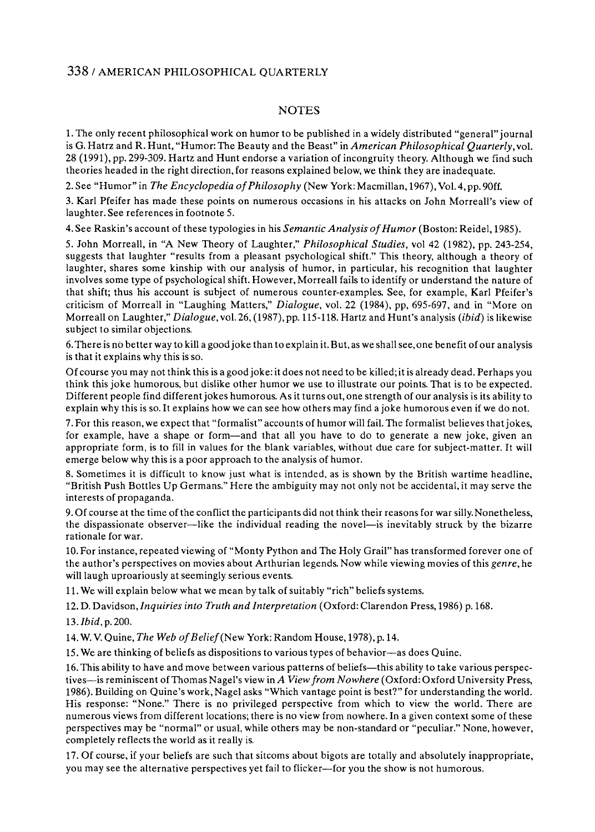# **338 / AMERICAN PHILOSOPHICAL QUARTERLY**

## **NOTES**

**1. The only recent philosophical work on humor to be published in a widely distributed "general" journal is G. Hatrz and R. Hunt, "Humor: The Beauty and the Beast" in American Philosophical Quarterly, vol. 28 (1991), pp. 299-309. Hartz and Hunt endorse a variation of incongruity theory. Although we find such theories headed in the right direction, for reasons explained below, we think they are inadequate.** 

**2. See "Humor" in The Encyclopedia of Philosophy (New York: Macmillan, 1967), Vol. 4, pp. 90ff.** 

**3. Karl Pfeifer has made these points on numerous occasions in his attacks on John Morreall's view of laughter. See references in footnote 5.** 

**4. See Raskin's account of these typologies in his Semantic Analysis of Humor (Boston: Reidel, 1985).** 

**5. John Morreall, in "A New Theory of Laughter," Philosophical Studies, vol 42 (1982), pp. 243-254, suggests that laughter "results from a pleasant psychological shift." This theory, although a theory of laughter, shares some kinship with our analysis of humor, in particular, his recognition that laughter involves some type of psychological shift. However, Morreall fails to identify or understand the nature of that shift; thus his account is subject of numerous counter-examples. See, for example, Karl Pfeifer's criticism of Morreall in "Laughing Matters," Dialogue, vol. 22 (1984), pp, 695-697, and in "More on Morreall on Laughter," Dialogue, vol. 26, (1987), pp. 115-118. Hartz and Hunt's analysis (ibid) is likewise subject to similar objections.** 

**6. There is n? better way to kill a good joke than to explain it. But, as we shall see, one benefit of our analysis is that it explains why this is so.** 

**Of course you may not think this is a good joke: it does not need to be killed; it is already dead. Perhaps you think this joke humorous, but dislike other humor we use to illustrate our points. That is to be expected. Different people find different jokes humorous. As it turns out, one strength of our analysis is its ability to explain why this is so. It explains how we can see how others may find a joke humorous even if we do not.** 

**7. For this reason, we expect that "formalist" accounts of humor will fail. The formalist believes that jokes,**  for example, have a shape or form—and that all you have to do to generate a new joke, given an **appropriate form, is to fill in values for the blank variables, without due care for subject-matter. It will emerge below why this is a poor approach to the analysis of humor.** 

**8. Sometimes it is difficult to know just what is intended, as is shown by the British wartime headline, "British Push Bottles Up Germans." Here the ambiguity may not only not be accidental, it may serve the interests of propaganda.** 

**9. Of course at the time of the conflict the participants did not think their reasons for war silly. Nonetheless,**  the dispassionate observer—like the individual reading the novel—is inevitably struck by the bizarre **rationale for war.** 

**10. For instance, repeated viewing of "Monty Python and The Holy Grail" has transformed forever one of the author's perspectives on movies about Arthurian legends. Now while viewing movies of this genre, he will laugh uproariously at seemingly serious events.** 

**11. We will explain below what we mean by talk of suitably "rich" beliefs systems.** 

**12. D. Davidson, Inquiries into Truth and Interpretation (Oxford: Clarendon Press, 1986) p. 168.** 

**13. Ibid, p. 200.** 

**14. W. V. Quine, The Web of Belief (New York: Random House, 1978), p. 14.** 

15. We are thinking of beliefs as dispositions to various types of behavior—as does Quine.

16. This ability to have and move between various patterns of beliefs—this ability to take various perspec**tives?is reminiscent of Thomas Nagel's view in A View from Nowhere (Oxford: Oxford University Press, 1986). Building on Quine's work, Nagel asks "Which vantage point is best?" for understanding the world. His response: "None." There is no privileged perspective from which to view the world. There are numerous views from different locations; there is no view from nowhere. In a given context some of these perspectives may be "normal" or usual, while others may be non-standard or "peculiar." None, however, completely reflects the world as it really is.** 

**17. Of course, if your beliefs are such that sitcoms about bigots are totally and absolutely inappropriate, you may see the alternative perspectives yet fail to flicker?for you the show is not humorous.**